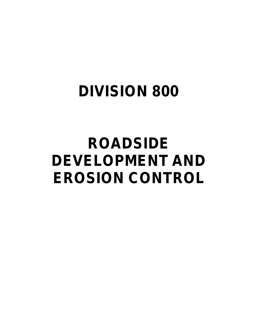# **DIVISION 800**

# **ROADSIDE DEVELOPMENT AND EROSION CONTROL**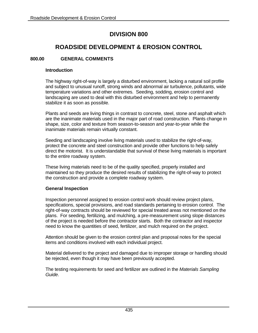# **DIVISION 800**

# **ROADSIDE DEVELOPMENT & EROSION CONTROL**

# **800.00 GENERAL COMMENTS**

#### **Introduction**

The highway right-of-way is largely a disturbed environment, lacking a natural soil profile and subject to unusual runoff, strong winds and abnormal air turbulence, pollutants, wide temperature variations and other extremes. Seeding, sodding, erosion control and landscaping are used to deal with this disturbed environment and help to permanently stabilize it as soon as possible.

Plants and seeds are living things in contrast to concrete, steel, stone and asphalt which are the inanimate materials used in the major part of road construction. Plants change in shape, size, color and texture from season-to-season and year-to-year while the inanimate materials remain virtually constant.

Seeding and landscaping involve living materials used to stabilize the right-of-way, protect the concrete and steel construction and provide other functions to help safely direct the motorist. It is understandable that survival of these living materials is important to the entire roadway system.

These living materials need to be of the quality specified, properly installed and maintained so they produce the desired results of stabilizing the right-of-way to protect the construction and provide a complete roadway system.

# **General Inspection**

Inspection personnel assigned to erosion control work should review project plans, specifications, special provisions, and road standards pertaining to erosion control. The right-of-way contracts should be reviewed for special treated areas not mentioned on the plans. For seeding, fertilizing, and mulching, a pre-measurement using slope distances of the project is needed before the contractor starts. Both the contractor and inspector need to know the quantities of seed, fertilizer, and mulch required on the project.

Attention should be given to the erosion control plan and proposal notes for the special items and conditions involved with each individual project.

Material delivered to the project and damaged due to improper storage or handling should be rejected, even though it may have been previously accepted.

The testing requirements for seed and fertilizer are outlined in the *Materials Sampling Guide*.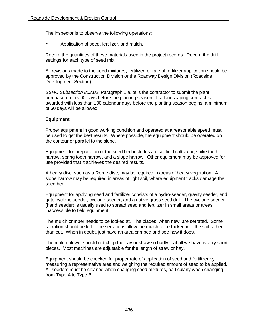The inspector is to observe the following operations:

• Application of seed, fertilizer, and mulch.

Record the quantities of these materials used in the project records. Record the drill settings for each type of seed mix.

All revisions made to the seed mixtures, fertilizer, or rate of fertilizer application should be approved by the Construction Division or the Roadway Design Division (Roadside Development Section).

*SSHC Subsection 802.02*, Paragraph 1.a. tells the contractor to submit the plant purchase orders 90 days before the planting season. If a landscaping contract is awarded with less than 100 calendar days before the planting season begins, a minimum of 60 days will be allowed.

# **Equipment**

Proper equipment in good working condition and operated at a reasonable speed must be used to get the best results. Where possible, the equipment should be operated on the contour or parallel to the slope.

Equipment for preparation of the seed bed includes a disc, field cultivator, spike tooth harrow, spring tooth harrow, and a slope harrow. Other equipment may be approved for use provided that it achieves the desired results.

A heavy disc, such as a Rome disc, may be required in areas of heavy vegetation. A slope harrow may be required in areas of light soil, where equipment tracks damage the seed bed.

Equipment for applying seed and fertilizer consists of a hydro-seeder, gravity seeder, end gate cyclone seeder, cyclone seeder, and a native grass seed drill. The cyclone seeder (hand seeder) is usually used to spread seed and fertilizer in small areas or areas inaccessible to field equipment.

The mulch crimper needs to be looked at. The blades, when new, are serrated. Some serration should be left. The serrations allow the mulch to be tucked into the soil rather than cut. When in doubt, just have an area crimped and see how it does.

The mulch blower should not chop the hay or straw so badly that all we have is very short pieces. Most machines are adjustable for the length of straw or hay.

Equipment should be checked for proper rate of application of seed and fertilizer by measuring a representative area and weighing the required amount of seed to be applied. All seeders must be cleaned when changing seed mixtures, particularly when changing from Type A to Type B.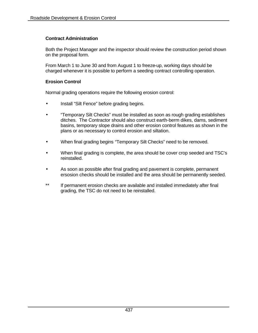# **Contract Administration**

Both the Project Manager and the inspector should review the construction period shown on the proposal form.

From March 1 to June 30 and from August 1 to freeze-up, working days should be charged whenever it is possible to perform a seeding contract controlling operation.

#### **Erosion Control**

Normal grading operations require the following erosion control:

- Install "Silt Fence" before grading begins.
- "Temporary Silt Checks" must be installed as soon as rough grading establishes ditches. The Contractor should also construct earth-berm dikes, dams, sediment basins, temporary slope drains and other erosion control features as shown in the plans or as necessary to control erosion and siltation.
- When final grading begins "Temporary Silt Checks" need to be removed.
- When final grading is complete, the area should be cover crop seeded and TSC's reinstalled.
- As soon as possible after final grading and pavement is complete, permanent ersosion checks should be installed and the area should be permanently seeded.
- \*\* If permanent erosion checks are available and installed immediately after final grading, the TSC do not need to be reinstalled.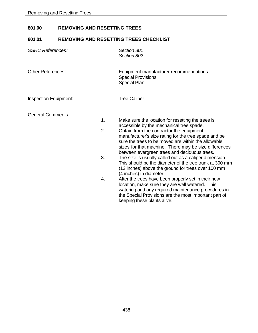# **801.00 REMOVING AND RESETTING TREES**

# **801.01 REMOVING AND RESETTING TREES CHECKLIST**

| <b>SSHC References:</b>      |    | Section 801<br>Section 802                                                                                                                                                                                                                                       |
|------------------------------|----|------------------------------------------------------------------------------------------------------------------------------------------------------------------------------------------------------------------------------------------------------------------|
| Other References:            |    | Equipment manufacturer recommendations<br><b>Special Provisions</b><br>Special Plan                                                                                                                                                                              |
| <b>Inspection Equipment:</b> |    | <b>Tree Caliper</b>                                                                                                                                                                                                                                              |
| <b>General Comments:</b>     |    |                                                                                                                                                                                                                                                                  |
|                              | 1. | Make sure the location for resetting the trees is<br>accessible by the mechanical tree spade.                                                                                                                                                                    |
|                              | 2. | Obtain from the contractor the equipment<br>manufacturer's size rating for the tree spade and be<br>sure the trees to be moved are within the allowable<br>sizes for that machine. There may be size differences<br>between evergreen trees and deciduous trees. |
|                              | 3. | The size is usually called out as a caliper dimension -<br>This should be the diameter of the tree trunk at 300 mm<br>(12 inches) above the ground for trees over 100 mm<br>(4 inches) in diameter.                                                              |
|                              | 4. | After the trees have been properly set in their new<br>location, make sure they are well watered. This<br>watering and any required maintenance procedures in<br>the Special Provisions are the most important part of<br>keeping these plants alive.            |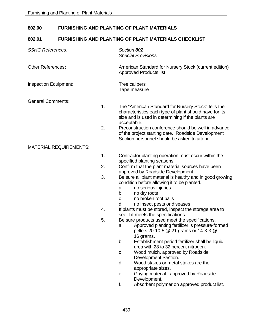# **802.00 FURNISHING AND PLANTING OF PLANT MATERIALS**

# **802.01 FURNISHING AND PLANTING OF PLANT MATERIALS CHECKLIST**

| <b>SSHC References:</b>       |    | Section 802<br><b>Special Provisions</b>                                                                                                                                                                                       |
|-------------------------------|----|--------------------------------------------------------------------------------------------------------------------------------------------------------------------------------------------------------------------------------|
| <b>Other References:</b>      |    | American Standard for Nursery Stock (current edition)<br><b>Approved Products list</b>                                                                                                                                         |
| Inspection Equipment:         |    | Tree calipers<br>Tape measure                                                                                                                                                                                                  |
| <b>General Comments:</b>      |    |                                                                                                                                                                                                                                |
|                               | 1. | The "American Standard for Nursery Stock" tells the<br>characteristics each type of plant should have for its<br>size and is used in determining if the plants are                                                             |
|                               | 2. | acceptable.<br>Preconstruction conference should be well in advance<br>of the project starting date. Roadside Development<br>Section personnel should be asked to attend.                                                      |
| <b>MATERIAL REQUIREMENTS:</b> |    |                                                                                                                                                                                                                                |
|                               | 1. | Contractor planting operation must occur within the                                                                                                                                                                            |
|                               | 2. | specified planting seasons.<br>Confirm that the plant material sources have been<br>approved by Roadside Development.                                                                                                          |
|                               | 3. | Be sure all plant material is healthy and in good growing<br>condition before allowing it to be planted.<br>no serious injuries<br>a.<br>no dry roots<br>b.<br>no broken root balls<br>C.<br>no insect pests or diseases<br>d. |
|                               | 4. | If plants must be stored, inspect the storage area to                                                                                                                                                                          |
|                               |    | see if it meets the specifications.                                                                                                                                                                                            |
|                               | 5. | Be sure products used meet the specifications.<br>Approved planting fertilizer is pressure-formed<br>a.<br>pellets 20-10-5 @ 21 grams or 14-3-3 @<br>16 grams.                                                                 |
|                               |    | b.<br>Establishment period fertilizer shall be liquid<br>urea with 28 to 32 percent nitrogen.                                                                                                                                  |
|                               |    | Wood mulch, approved by Roadside<br>с.<br>Development Section.                                                                                                                                                                 |
|                               |    | Wood stakes or metal stakes are the<br>d.<br>appropriate sizes.                                                                                                                                                                |
|                               |    | Guying material - approved by Roadside<br>е.<br>Development.                                                                                                                                                                   |
|                               |    | f.<br>Absorbent polymer on approved product list.                                                                                                                                                                              |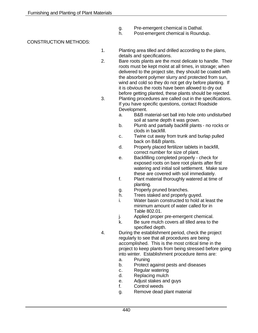- g. Pre-emergent chemical is Dathal.
- h. Post-emergent chemical is Roundup.

# CONSTRUCTION METHODS:

- 1. Planting area tilled and drilled according to the plans, details and specifications.
- 2. Bare roots plants are the most delicate to handle. Their roots must be kept moist at all times, in storage; when delivered to the project site, they should be coated with the absorbent polymer slurry and protected from sun, wind and cold so they do not get dry before planting. If it is obvious the roots have been allowed to dry out before getting planted, these plants should be rejected.
- 3. Planting procedures are called out in the specifications. If you have specific questions, contact Roadside Development.
	- a. B&B material-set ball into hole onto undisturbed soil at same depth it was grown.
	- b. Plumb and partially backfill plants no rocks or clods in backfill.
	- c. Twine cut away from trunk and burlap pulled back on B&B plants.
	- d. Properly placed fertilizer tablets in backfill, correct number for size of plant.
	- e. Backfilling completed properly check for exposed roots on bare root plants after first watering and initial soil settlement. Make sure these are covered with soil immediately.
	- f. Plant material thoroughly watered at time of planting.
	- g. Properly pruned branches.
	- h. Trees staked and properly guyed.
	- i. Water basin constructed to hold at least the minimum amount of water called for in Table 802.01.
	- j. Applied proper pre-emergent chemical.
	- k. Be sure mulch covers all tilled area to the specified depth.
- 4. During the establishment period, check the project regularly to see that all procedures are being accomplished. This is the most critical time in the project to keep plants from being stressed before going into winter. Establishment procedure items are:
	- a. Pruning
	- b. Protect against pests and diseases
	- c. Regular watering
	- d. Replacing mulch
	- e. Adjust stakes and guys
	- f. Control weeds
	- g. Remove dead plant material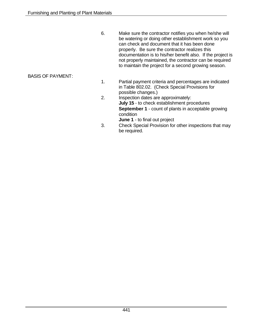6. Make sure the contractor notifies you when he/she will be watering or doing other establishment work so you can check and document that it has been done properly. Be sure the contractor realizes this documentation is to his/her benefit also. If the project is not properly maintained, the contractor can be required to maintain the project for a second growing season.

# BASIS OF PAYMENT:

- 1. Partial payment criteria and percentages are indicated in Table 802.02. (Check Special Provisions for possible changes.)
- 2. Inspection dates are approximately: **July 15** - to check establishment procedures **September 1** - count of plants in acceptable growing condition **June 1** - to final out project
- 3. Check Special Provision for other inspections that may be required.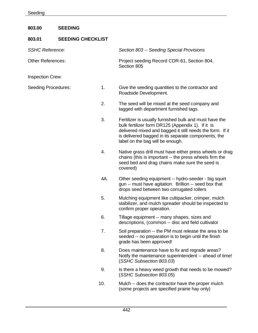#### **803.00 SEEDING**

#### **803.01 SEEDING CHECKLIST**

*SSHC Reference: Section 803 -- Seeding Special Provisions*

Other References: Project seeding Record CDR-61, Section 804,

Inspection Crew:

Seeding Procedures: 1. Give the seeding quantities to the contractor and Roadside Development.

Section 805

- 2. The seed will be mixed at the seed company and tagged with department furnished tags.
- 3. Fertilizer is usually furnished bulk and must have the bulk fertilizer form DR125 (Appendix 1). If it is delivered mixed and bagged it still needs the form. If it is delivered bagged in its separate components, the label on the bag will be enough.
- 4. Native grass drill must have either press wheels or drag chains (this is important -- the press wheels firm the seed bed and drag chains make sure the seed is covered)
- 4A. Other seeding equipment -- hydro-seeder big squirt gun -- must have agitation. Brillion -- seed box that drops seed between two corrugated rollers
- 5. Mulching equipment like cultipacker, crimper, mulch stabilizer, and mulch spreader should be inspected to confirm proper operation.
- 6. Tillage equipment -- many shapes, sizes and descriptions, (common -- disc and field cultivator
- 7. Soil preparation -- the PM must release the area to be seeded -- no preparation is to begin until the finish grade has been approved!
- 8. Does maintenance have to fix and regrade areas? Notify the maintenance superintendent -- ahead of time! (*SSHC Subsection 803.03*)
- 9. Is there a heavy weed growth that needs to be mowed? (*SSHC Subsection 803.05*)
- 10. Mulch -- does the contractor have the proper mulch (some projects are specified prairie hay only)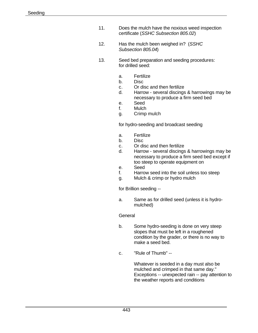- 11. Does the mulch have the noxious weed inspection certificate (*SSHC Subsection 805.02*)
- 12. Has the mulch been weighed in? (*SSHC Subsection 805.04*)
- 13. Seed bed preparation and seeding procedures: for drilled seed:
	- a. Fertilize
	- b. Disc
	- c. Or disc and then fertilize
	- d. Harrow several discings & harrowings may be necessary to produce a firm seed bed
	- e. Seed
	- f. Mulch
	- g. Crimp mulch

for hydro-seeding and broadcast seeding

- a. Fertilize
- b. Disc
- c. Or disc and then fertilize
- d. Harrow several discings & harrowings may be necessary to produce a firm seed bed except if too steep to operate equipment on
- e. Seed
- f. Harrow seed into the soil unless too steep
- g. Mulch & crimp or hydro mulch

for Brillion seeding --

a. Same as for drilled seed (unless it is hydromulched)

#### General

- b. Some hydro-seeding is done on very steep slopes that must be left in a roughened condition by the grader, or there is no way to make a seed bed.
- c. "Rule of Thumb" --

Whatever is seeded in a day must also be mulched and crimped in that same day." Exceptions -- unexpected rain -- pay attention to the weather reports and conditions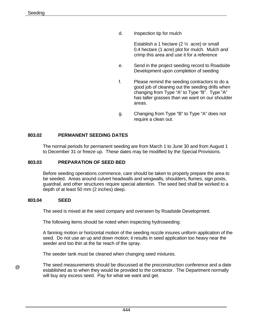d. Inspection tip for mulch

Establish a 1 hectare (2 ½ acre) or small 0.4 hectare (1 acre) plot for mulch. Mulch and crimp this area and use it for a reference

- e. Send in the project seeding record to Roadside Development upon completion of seeding
- f. Please remind the seeding contractors to do a good job of cleaning out the seeding drills when changing from Type "A" to Type "B". Type "A" has taller grasses than we want on our shoulder areas.
- g. Changing from Type "B" to Type "A" does not require a clean out.

# **803.02 PERMANENT SEEDING DATES**

The normal periods for permanent seeding are from March 1 to June 30 and from August 1 to December 31 or freeze up. These dates may be modified by the Special Provisions.

#### **803.03 PREPARATION OF SEED BED**

Before seeding operations commence, care should be taken to properly prepare the area to be seeded. Areas around culvert headwalls and wingwalls, shoulders, flumes, sign posts, guardrail, and other structures require special attention. The seed bed shall be worked to a depth of at least 50 mm (2 inches) deep.

#### **803.04 SEED**

@

The seed is mixed at the seed company and overseen by Roadside Development.

The following items should be noted when inspecting hydroseeding:

A fanning motion or horizontal motion of the seeding nozzle insures uniform application of the seed. Do not use an up and down motion; it results in seed application too heavy near the seeder and too thin at the far reach of the spray.

The seeder tank must be cleaned when changing seed mixtures.

The seed measurements should be discussed at the preconstruction conference and a date established as to when they would be provided to the contractor. The Department normally will buy any excess seed. Pay for what we want and get.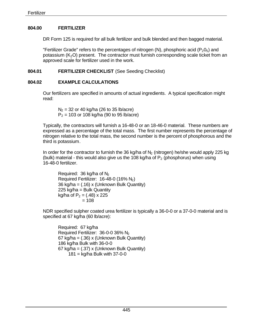# **804.00 FERTILIZER**

DR Form 125 is required for all bulk fertilizer and bulk blended and then bagged material.

"Fertilizer Grade" refers to the percentages of nitrogen (N), phosphoric acid ( $P_2O_5$ ) and potassium  $(K<sub>2</sub>O)$  present. The contractor must furnish corresponding scale ticket from an approved scale for fertilizer used in the work.

**804.01 FERTILIZER CHECKLIST** (See Seeding Checklist)

# **804.02 EXAMPLE CALCULATIONS**

Our fertilizers are specified in amounts of actual ingredients. A typical specification might read:

 $N_2$  = 32 or 40 kg/ha (26 to 35 lb/acre)  $P_2$  = 103 or 108 kg/ha (90 to 95 lb/acre)

Typically, the contractors will furnish a 16-48-0 or an 18-46-0 material. These numbers are expressed as a percentage of the total mass. The first number represents the percentage of nitrogen relative to the total mass, the second number is the percent of phosphorous and the third is potassium.

In order for the contractor to furnish the 36 kg/ha of  $N_2$  (nitrogen) he/she would apply 225 kg (bulk) material - this would also give us the 108 kg/ha of  $P<sub>2</sub>$  (phosphorus) when using 16-48-0 fertilizer.

```
Required: 36 kg/ha of N<sub>2</sub>
Required Fertilizer: 16-48-0 (16% N<sub>2</sub>)
36 kg/ha = (.16) x (Unknown Bulk Quantity)
225 kg/ha = Bulk Quantity
kg/ha of P_2 = (.48) \times 225= 108
```
NDR specified sulpher coated urea fertilizer is typically a 36-0-0 or a 37-0-0 material and is specified at 67 kg/ha (60 lb/acre):

Required: 67 kg/ha Required Fertilizer: 36-0-0 36% N<sub>2</sub> 67 kg/ha = (.36) x (Unknown Bulk Quantity) 186 kg/ha Bulk with 36-0-0 67 kg/ha =  $(.37)$  x (Unknown Bulk Quantity)  $181 = \frac{\text{kg}}{\text{ha}}$  Bulk with 37-0-0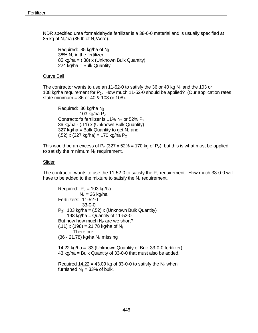NDR specified urea formaldehyde fertilizer is a 38-0-0 material and is usually specified at 85 kg of  $N_2/ha$  (35 lb of  $N_2/A$ cre).

Required: 85 kg/ha of  $N_2$  $38\%$  N<sub>2</sub> in the fertilizer 85 kg/ha = (.38) x (Unknown Bulk Quantity)  $224$  kg/ha = Bulk Quantity

# Curve Ball

The contractor wants to use an 11-52-0 to satisfy the 36 or 40 kg  $N_2$  and the 103 or 108 kg/ha requirement for  $P_2$ . How much 11-52-0 should be applied? (Our application rates state minimum = 36 or 40 & 103 or 108).

Required: 36 kg/ha N<sup>2</sup> 103 kg/ha $P<sub>2</sub>$ Contractor's fertilizer is 11%  $N_2$  or 52%  $P_2$ . 36 kg/ha - (.11) x (Unknown Bulk Quantity) 327 kg/ha = Bulk Quantity to get  $N_2$  and  $(.52)$  x (327 kg/ha) = 170 kg/ha P<sub>2</sub>

This would be an excess of P<sub>2</sub> (327 x 52% = 170 kg of P<sub>2</sub>), but this is what must be applied to satisfy the minimum  $N_2$  requirement.

# Slider

The contractor wants to use the 11-52-0 to satisfy the  $P_2$  requirement. How much 33-0-0 will have to be added to the mixture to satisfy the  $N<sub>2</sub>$  requirement.

```
Required: P_2 = 103 kg/ha
           N_2 = 36 kg/ha
Fertilizers: 11-52-0
             33-0-0
P_2: 103 kg/ha = (.52) x (Unknown Bulk Quantity)
    198 kg/ha = Quantity of 11-52-0.
But now how much N_2 are we short?
(.11) \times (198) = 21.78 kg/ha of N<sub>2</sub>
         Therefore,
(36 - 21.78) kg/ha N<sub>2</sub> missing
14.22 kg/ha = .33 (Unknown Quantity of Bulk 33-0-0 fertilizer)
43 kg/ha = Bulk Quantity of 33-0-0 that must also be added.
```
Required 14.22 = 43.09 kg of 33-0-0 to satisfy the  $N_2$  when furnished  $N_2$  = 33% of bulk.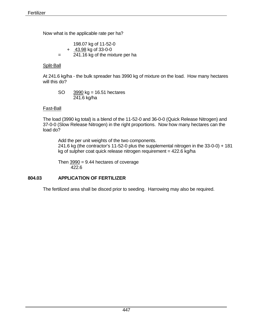Now what is the applicable rate per ha?

$$
198.07 \text{ kg of } 11-52-0
$$
  
+ 43.98 kg of 33-0-0  
= 241.16 kg of the mixture per ha

# Split-Ball

At 241.6 kg/ha - the bulk spreader has 3990 kg of mixture on the load. How many hectares will this do?

SO 
$$
\frac{3990}{241.6}
$$
 kg = 16.51 hectares  $\frac{241.6}{241.6}$  kg/ha

# Fast-Ball

The load (3990 kg total) is a blend of the 11-52-0 and 36-0-0 (Quick Release Nitrogen) and 37-0-0 (Slow Release Nitrogen) in the right proportions. Now how many hectares can the load do?

Add the per unit weights of the two components. 241.6 kg (the contractor's 11-52-0 plus the supplemental nitrogen in the 33-0-0) + 181 kg of sulpher coat quick release nitrogen requirement = 422.6 kg/ha

Then 3990 = 9.44 hectares of coverage 422.6

# **804.03 APPLICATION OF FERTILIZER**

The fertilized area shall be disced prior to seeding. Harrowing may also be required.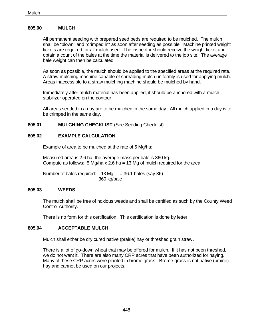# **805.00 MULCH**

All permanent seeding with prepared seed beds are required to be mulched. The mulch shall be "blown" and "crimped in" as soon after seeding as possible. Machine printed weight tickets are required for all mulch used. The inspector should receive the weight ticket and obtain a count of the bales at the time the material is delivered to the job site. The average bale weight can then be calculated.

As soon as possible, the mulch should be applied to the specified areas at the required rate. A straw mulching machine capable of spreading mulch uniformly is used for applying mulch. Areas inaccessible to a straw mulching machine should be mulched by hand.

Immediately after mulch material has been applied, it should be anchored with a mulch stabilizer operated on the contour.

All areas seeded in a day are to be mulched in the same day. All mulch applied in a day is to be crimped in the same day.

#### **805.01 MULCHING CHECKLIST** (See Seeding Checklist)

#### **805.02 EXAMPLE CALCULATION**

Example of area to be mulched at the rate of 5 Mg/ha:

Measured area is 2.6 ha, the average mass per bale is 360 kg. Compute as follows: 5 Mg/ha x 2.6 ha = 13 Mg of mulch required for the area.

Number of bales required:  $13 \text{ Mg} = 36.1$  bales (say 36) 360 kg/bale

#### **805.03 WEEDS**

The mulch shall be free of noxious weeds and shall be certified as such by the County Weed Control Authority.

There is no form for this certification. This certification is done by letter.

#### **805.04 ACCEPTABLE MULCH**

Mulch shall either be dry cured native (prairie) hay or threshed grain straw.

There is a lot of go-down wheat that may be offered for mulch. If it has not been threshed, we do not want it. There are also many CRP acres that have been authorized for haying. Many of these CRP acres were planted in brome grass. Brome grass is not native (prairie) hay and cannot be used on our projects.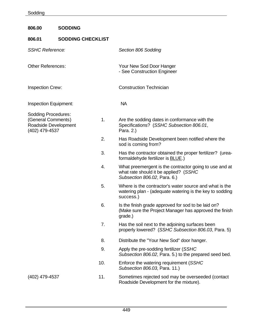| 806.00                                                                                     | <b>SODDING</b>           |     |                                                                                                                                 |  |  |
|--------------------------------------------------------------------------------------------|--------------------------|-----|---------------------------------------------------------------------------------------------------------------------------------|--|--|
| 806.01                                                                                     | <b>SODDING CHECKLIST</b> |     |                                                                                                                                 |  |  |
| <b>SSHC Reference:</b>                                                                     |                          |     | Section 806 Sodding                                                                                                             |  |  |
| <b>Other References:</b>                                                                   |                          |     | Your New Sod Door Hanger<br>- See Construction Engineer                                                                         |  |  |
| Inspection Crew:                                                                           |                          |     | <b>Construction Technician</b>                                                                                                  |  |  |
| Inspection Equipment:                                                                      |                          |     | <b>NA</b>                                                                                                                       |  |  |
| <b>Sodding Procedures:</b><br>(General Comments)<br>Roadside Development<br>(402) 479-4537 |                          | 1.  | Are the sodding dates in conformance with the<br>Specifications? (SSHC Subsection 806.01,<br>Para. 2.)                          |  |  |
|                                                                                            |                          | 2.  | Has Roadside Development been notified where the<br>sod is coming from?                                                         |  |  |
|                                                                                            |                          | 3.  | Has the contractor obtained the proper fertilizer? (urea-<br>formaldehyde fertilizer is BLUE.)                                  |  |  |
|                                                                                            |                          | 4.  | What preemergent is the contractor going to use and at<br>what rate should it be applied? (SSHC<br>Subsection 806.02, Para. 6.) |  |  |
|                                                                                            |                          | 5.  | Where is the contractor's water source and what is the<br>watering plan - (adequate watering is the key to sodding<br>success.) |  |  |
|                                                                                            |                          | 6.  | Is the finish grade approved for sod to be laid on?<br>(Make sure the Project Manager has approved the finish<br>grade.)        |  |  |
|                                                                                            |                          | 7.  | Has the soil next to the adjoining surfaces been<br>properly lowered? (SSHC Subsection 806.03, Para. 5)                         |  |  |
|                                                                                            |                          | 8.  | Distribute the "Your New Sod" door hanger.                                                                                      |  |  |
|                                                                                            |                          | 9.  | Apply the pre-sodding fertilizer (SSHC<br>Subsection 806.02, Para. 5.) to the prepared seed bed.                                |  |  |
|                                                                                            |                          | 10. | Enforce the watering requirement (SSHC<br>Subsection 806.03, Para. 11.)                                                         |  |  |
| (402) 479-4537                                                                             |                          | 11. | Sometimes rejected sod may be overseeded (contact<br>Roadside Development for the mixture).                                     |  |  |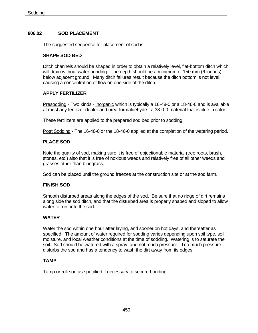# **806.02 SOD PLACEMENT**

The suggested sequence for placement of sod is:

#### **SHAPE SOD BED**

Ditch channels should be shaped in order to obtain a relatively level, flat-bottom ditch which will drain without water ponding. The depth should be a minimum of 150 mm (6 inches) below adjacent ground. Many ditch failures result because the ditch bottom is not level, causing a concentration of flow on one side of the ditch.

#### **APPLY FERTILIZER**

Presodding - Two kinds - Inorganic which is typically a 16-48-0 or a 18-46-0 and is available at most any fertilizer dealer and urea-formaldehyde - a 38-0-0 material that is blue in color.

These fertilizers are applied to the prepared sod bed prior to sodding.

Post Sodding - The 16-48-0 or the 18-46-0 applied at the completion of the watering period.

#### **PLACE SOD**

Note the quality of sod, making sure it is free of objectionable material (tree roots, brush, stones, etc.) also that it is free of noxious weeds and relatively free of all other weeds and grasses other than bluegrass.

Sod can be placed until the ground freezes at the construction site or at the sod farm.

#### **FINISH SOD**

Smooth disturbed areas along the edges of the sod. Be sure that no ridge of dirt remains along side the sod ditch, and that the disturbed area is properly shaped and sloped to allow water to run onto the sod.

#### **WATER**

Water the sod within one hour after laying, and sooner on hot days, and thereafter as specified. The amount of water required for sodding varies depending upon soil type, soil moisture, and local weather conditions at the time of sodding. Watering is to saturate the soil. Sod should be watered with a spray, and not much pressure. Too much pressure disturbs the sod and has a tendency to wash the dirt away from its edges.

#### **TAMP**

Tamp or roll sod as specified if necessary to secure bonding.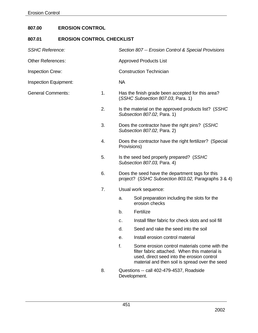# **807.00 EROSION CONTROL**

# **807.01 EROSION CONTROL CHECKLIST**

| <b>SSHC Reference:</b>       |    | Section 807 -- Erosion Control & Special Provisions                                                                                                                                                 |  |  |
|------------------------------|----|-----------------------------------------------------------------------------------------------------------------------------------------------------------------------------------------------------|--|--|
| <b>Other References:</b>     |    | <b>Approved Products List</b>                                                                                                                                                                       |  |  |
| <b>Inspection Crew:</b>      |    | <b>Construction Technician</b>                                                                                                                                                                      |  |  |
| <b>Inspection Equipment:</b> |    | <b>NA</b>                                                                                                                                                                                           |  |  |
| <b>General Comments:</b>     | 1. | Has the finish grade been accepted for this area?<br>(SSHC Subsection 807.03, Para. 1)                                                                                                              |  |  |
|                              | 2. | Is the material on the approved products list? (SSHC<br>Subsection 807.02, Para. 1)                                                                                                                 |  |  |
|                              | 3. | Does the contractor have the right pins? (SSHC<br>Subsection 807.02, Para. 2)                                                                                                                       |  |  |
|                              | 4. | Does the contractor have the right fertilizer? (Special<br>Provisions)                                                                                                                              |  |  |
|                              | 5. | Is the seed bed properly prepared? (SSHC<br>Subsection 807.03, Para. 4)                                                                                                                             |  |  |
|                              | 6. | Does the seed have the department tags for this<br>project? (SSHC Subsection 803.02, Paragraphs 3 & 4)                                                                                              |  |  |
|                              | 7. | Usual work sequence:                                                                                                                                                                                |  |  |
|                              |    | Soil preparation including the slots for the<br>a.<br>erosion checks                                                                                                                                |  |  |
|                              |    | Fertilize<br>b.                                                                                                                                                                                     |  |  |
|                              |    | Install filter fabric for check slots and soil fill<br>c.                                                                                                                                           |  |  |
|                              |    | Seed and rake the seed into the soil<br>d.                                                                                                                                                          |  |  |
|                              |    | Install erosion control material<br>е.                                                                                                                                                              |  |  |
|                              |    | f.<br>Some erosion control materials come with the<br>filter fabric attached. When this material is<br>used, direct seed into the erosion control<br>material and then soil is spread over the seed |  |  |
|                              | 8. | Questions -- call 402-479-4537, Roadside<br>Development.                                                                                                                                            |  |  |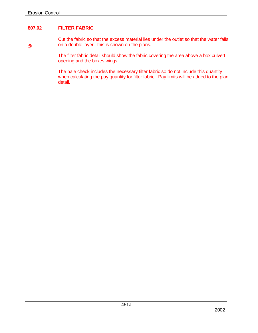#### **807.02 FILTER FABRIC**

@

Cut the fabric so that the excess material lies under the outlet so that the water falls on a double layer. this is shown on the plans.

The filter fabric detail should show the fabric covering the area above a box culvert opening and the boxes wings.

The bale check includes the necessary filter fabric so do not include this quantity when calculating the pay quantity for filter fabric. Pay limits will be added to the plan detail.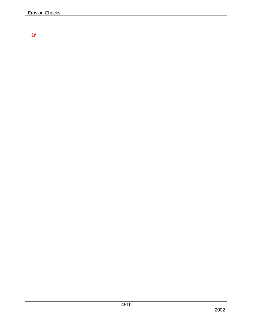@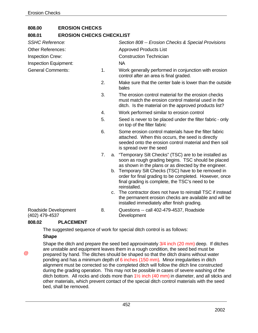# **808.00 EROSION CHECKS**

# **808.01 EROSION CHECKS CHECKLIST**

*SSHC Reference: Section 808 -- Erosion Checks & Special Provisions*

Other References: Approved Products List Inspection Crew: Construction Technician Inspection Equipment: NA General Comments: 1. Work generally performed in conjunction with erosion control after an area is final graded. 2. Make sure that the center bale is lower than the outside bales 3. The erosion control material for the erosion checks must match the erosion control material used in the ditch. Is the material on the approved products list? 4. Work performed similar to erosion control 5. Seed is never to be placed under the filter fabric - only on top of the filter fabric 6. Some erosion control materials have the filter fabric attached. When this occurs, the seed is directly seeded onto the erosion control material and then soil is spread over the seed

- 7. a. "Temporary Silt Checks" (TSC) are to be installed as soon as rough grading begins. TSC should be placed as shown in the plans or as directed by the engineer.
	- b. Temporary Silt Checks (TSC) have to be removed in order for final grading to be completed. However, once final grading is complete, the TSC's need to be reinstalled.
	- c. The contractor does not have to reinstall TSC if instead the permanent erosion checks are available and will be installed immediately after finish grading.

(402) 479-4537 Development

Roadside Development 8. Questions -- call 402-479-4537, Roadside

# **808.02 PLACEMENT**

The suggested sequence of work for special ditch control is as follows:

# **Shape**

@

Shape the ditch and prepare the seed bed approximately 3/4 inch (20 mm) deep. If ditches are unstable and equipment leaves them in a rough condition, the seed bed must be prepared by hand. The ditches should be shaped so that the ditch drains without water ponding and has a minimum depth of 6 inches (150 mm). Minor irregularities in ditch alignment must be corrected so the completed ditch will follow the ditch line constructed during the grading operation. This may not be possible in cases of severe washing of the ditch bottom. All rocks and clods more than  $1\frac{1}{2}$  inch (40 mm) in diameter, and all sticks and other materials, which prevent contact of the special ditch control materials with the seed bed, shall be removed.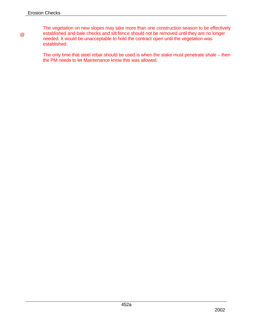@

The vegetation on new slopes may take more than one construction season to be effectively established and bale checks and silt fence should not be removed until they are no longer needed. It would be unacceptable to hold the contract open until the vegetation was established.

The only time that steel rebar should be used is when the stake must penetrate shale – then the PM needs to let Maintenance know this was allowed.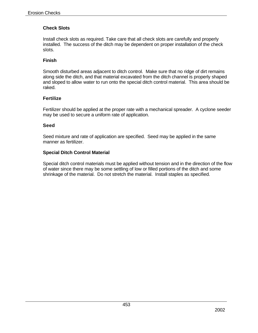# **Check Slots**

Install check slots as required. Take care that all check slots are carefully and properly installed. The success of the ditch may be dependent on proper installation of the check slots.

#### **Finish**

Smooth disturbed areas adjacent to ditch control. Make sure that no ridge of dirt remains along side the ditch, and that material excavated from the ditch channel is properly shaped and sloped to allow water to run onto the special ditch control material. This area should be raked.

#### **Fertilize**

Fertilizer should be applied at the proper rate with a mechanical spreader. A cyclone seeder may be used to secure a uniform rate of application.

#### **Seed**

Seed mixture and rate of application are specified. Seed may be applied in the same manner as fertilizer.

#### **Special Ditch Control Material**

Special ditch control materials must be applied without tension and in the direction of the flow of water since there may be some settling of low or filled portions of the ditch and some shrinkage of the material. Do not stretch the material. Install staples as specified.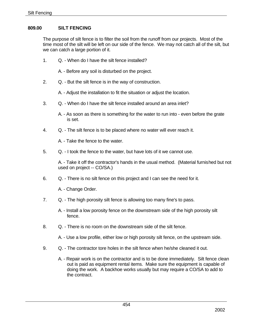# **809.00 SILT FENCING**

The purpose of silt fence is to filter the soil from the runoff from our projects. Most of the time most of the silt will be left on our side of the fence. We may not catch all of the silt, but we can catch a large portion of it.

1. Q. - When do I have the silt fence installed?

A. - Before any soil is disturbed on the project.

2. Q. - But the silt fence is in the way of construction.

A. - Adjust the installation to fit the situation or adjust the location.

- 3. Q. When do I have the silt fence installed around an area inlet?
	- A. As soon as there is something for the water to run into even before the grate is set.
- 4. Q. The silt fence is to be placed where no water will ever reach it.

A. - Take the fence to the water.

5. Q. - I took the fence to the water, but have lots of it we cannot use.

A. - Take it off the contractor's hands in the usual method. (Material furnished but not used on project -- CO/SA.)

6. Q. - There is no silt fence on this project and I can see the need for it.

A. - Change Order.

- 7. Q. The high porosity silt fence is allowing too many fine's to pass.
	- A. Install a low porosity fence on the downstream side of the high porosity silt fence.
- 8. Q. There is no room on the downstream side of the silt fence.
	- A. Use a low profile, either low or high porosity silt fence, on the upstream side.
- 9. Q. The contractor tore holes in the silt fence when he/she cleaned it out.
	- A. Repair work is on the contractor and is to be done immediately. Silt fence clean out is paid as equipment rental items. Make sure the equipment is capable of doing the work. A backhoe works usually but may require a CO/SA to add to the contract.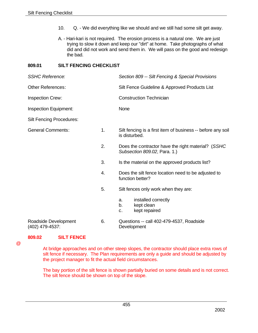- 10. Q. We did everything like we should and we still had some silt get away.
- A. Hari-kari is not required. The erosion process is a natural one. We are just trying to slow it down and keep our "dirt" at home. Take photographs of what did and did not work and send them in. We will pass on the good and redesign the bad.

#### **809.01 SILT FENCING CHECKLIST**

| <b>SSHC Reference:</b>                  |    | Section 809 -- Silt Fencing & Special Provisions                                   |  |  |
|-----------------------------------------|----|------------------------------------------------------------------------------------|--|--|
| <b>Other References:</b>                |    | Silt Fence Guideline & Approved Products List                                      |  |  |
| Inspection Crew:                        |    | <b>Construction Technician</b>                                                     |  |  |
| Inspection Equipment:                   |    | None                                                                               |  |  |
| <b>Silt Fencing Procedures:</b>         |    |                                                                                    |  |  |
| <b>General Comments:</b>                | 1. | Silt fencing is a first item of business -- before any soil<br>is disturbed.       |  |  |
|                                         | 2. | Does the contractor have the right material? (SSHC<br>Subsection 809.02, Para. 1.) |  |  |
|                                         | 3. | Is the material on the approved products list?                                     |  |  |
|                                         | 4. | Does the silt fence location need to be adjusted to<br>function better?            |  |  |
|                                         | 5. | Silt fences only work when they are:                                               |  |  |
|                                         |    | installed correctly<br>a.<br>kept clean<br>b.<br>kept repaired<br>c.               |  |  |
| Roadside Development<br>(402) 479-4537: | 6. | Questions -- call 402-479-4537, Roadside<br>Development                            |  |  |
| <b>CILT EEMAE</b><br>onn na             |    |                                                                                    |  |  |

**809.02 SILT FENCE**

@

At bridge approaches and on other steep slopes, the contractor should place extra rows of silt fence if necessary. The Plan requirements are only a guide and should be adjusted by the project manager to fit the actual field circumstances.

The bay portion of the silt fence is shown partially buried on some details and is not correct. The silt fence should be shown on top of the slope.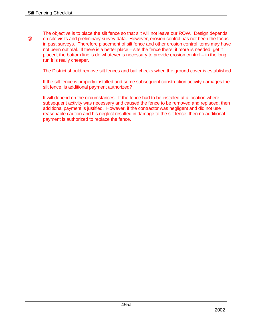The objective is to place the silt fence so that silt will not leave our ROW. Design depends on site visits and preliminary survey data. However, erosion control has not been the focus in past surveys. Therefore placement of silt fence and other erosion control items may have not been optimal. If there is a better place – site the fence there; if more is needed, get it placed; the bottom line is do whatever is necessary to provide erosion control – in the long run it is really cheaper.  $\omega$ 

The District should remove silt fences and bail checks when the ground cover is established.

If the silt fence is properly installed and some subsequent construction activity damages the silt fence, is additional payment authorized?

It will depend on the circumstances. If the fence had to be installed at a location where subsequent activity was necessary and caused the fence to be removed and replaced, then additional payment is justified. However, if the contractor was negligent and did not use reasonable caution and his neglect resulted in damage to the silt fence, then no additional payment is authorized to replace the fence.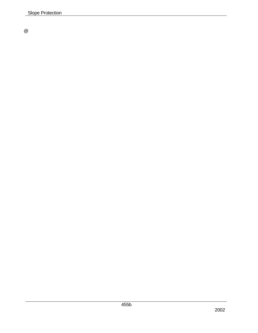@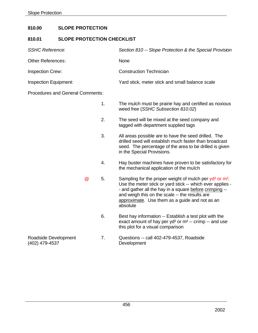# **810.00 SLOPE PROTECTION**

# **810.01 SLOPE PROTECTION CHECKLIST**

| <b>SSHC Reference:</b>                  |   |    | Section 810 -- Slope Protection & the Special Provision                                                                                                                                                                                                                                                                 |  |
|-----------------------------------------|---|----|-------------------------------------------------------------------------------------------------------------------------------------------------------------------------------------------------------------------------------------------------------------------------------------------------------------------------|--|
| <b>Other References:</b>                |   |    | None                                                                                                                                                                                                                                                                                                                    |  |
| <b>Inspection Crew:</b>                 |   |    | <b>Construction Technician</b>                                                                                                                                                                                                                                                                                          |  |
| Inspection Equipment:                   |   |    | Yard stick, meter stick and small balance scale                                                                                                                                                                                                                                                                         |  |
| <b>Procedures and General Comments:</b> |   |    |                                                                                                                                                                                                                                                                                                                         |  |
|                                         |   | 1. | The mulch must be prairie hay and certified as noxious<br>weed free (SSHC Subsection 810.02)                                                                                                                                                                                                                            |  |
|                                         |   | 2. | The seed will be mixed at the seed company and<br>tagged with department supplied tags                                                                                                                                                                                                                                  |  |
|                                         |   | 3. | All areas possible are to have the seed drilled. The<br>drilled seed will establish much faster than broadcast<br>seed. The percentage of the area to be drilled is given<br>in the Special Provisions.                                                                                                                 |  |
| 4.                                      |   |    | Hay buster machines have proven to be satisfactory for<br>the mechanical application of the mulch                                                                                                                                                                                                                       |  |
|                                         | @ | 5. | Sampling for the proper weight of mulch per yd <sup>2</sup> or m <sup>2</sup> .<br>Use the meter stick or yard stick -- which ever applies -<br>- and gather all the hay in a square before crimping --<br>and weigh this on the scale -- the results are<br>approximate. Use them as a guide and not as an<br>absolute |  |
|                                         |   | 6. | Best hay information -- Establish a test plot with the<br>exact amount of hay per yd <sup>2</sup> or $m2$ -- crimp -- and use<br>this plot for a visual comparison                                                                                                                                                      |  |
| Roadside Development<br>(402) 479-4537  |   | 7. | Questions -- call 402-479-4537, Roadside<br>Development                                                                                                                                                                                                                                                                 |  |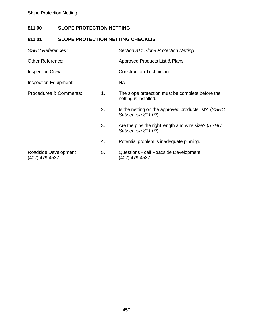# **811.00 SLOPE PROTECTION NETTING**

# **811.01 SLOPE PROTECTION NETTING CHECKLIST**

| <b>SSHC References:</b>                |    | Section 811 Slope Protection Netting                                      |  |
|----------------------------------------|----|---------------------------------------------------------------------------|--|
| <b>Other Reference:</b>                |    | <b>Approved Products List &amp; Plans</b>                                 |  |
| <b>Inspection Crew:</b>                |    | <b>Construction Technician</b>                                            |  |
| Inspection Equipment:                  |    | <b>NA</b>                                                                 |  |
| Procedures & Comments:                 | 1. | The slope protection must be complete before the<br>netting is installed. |  |
|                                        | 2. | Is the netting on the approved products list? (SSHC<br>Subsection 811.02) |  |
|                                        | 3. | Are the pins the right length and wire size? (SSHC<br>Subsection 811.02)  |  |
|                                        | 4. | Potential problem is inadequate pinning.                                  |  |
| Roadside Development<br>(402) 479-4537 | 5. | Questions - call Roadside Development<br>(402) 479-4537.                  |  |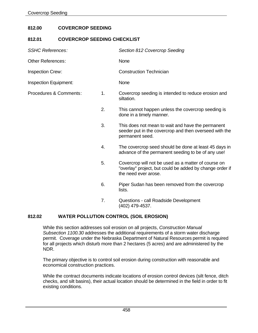# **812.00 COVERCROP SEEDING**

# **812.01 COVERCROP SEEDING CHECKLIST**

| <b>SSHC References:</b>  |    | Section 812 Covercrop Seeding                                                                                                           |  |
|--------------------------|----|-----------------------------------------------------------------------------------------------------------------------------------------|--|
| <b>Other References:</b> |    | None                                                                                                                                    |  |
| <b>Inspection Crew:</b>  |    | <b>Construction Technician</b>                                                                                                          |  |
| Inspection Equipment:    |    | None                                                                                                                                    |  |
| Procedures & Comments:   | 1. | Covercrop seeding is intended to reduce erosion and<br>siltation.                                                                       |  |
|                          | 2. | This cannot happen unless the covercrop seeding is<br>done in a timely manner.                                                          |  |
|                          | 3. | This does not mean to wait and have the permanent<br>seeder put in the covercrop and then overseed with the<br>permanent seed.          |  |
|                          | 4. | The covercrop seed should be done at least 45 days in<br>advance of the permanent seeding to be of any use!                             |  |
|                          | 5. | Covercrop will not be used as a matter of course on<br>"overlay" project, but could be added by change order if<br>the need ever arose. |  |
|                          | 6. | Piper Sudan has been removed from the covercrop<br>lists.                                                                               |  |
|                          | 7. | Questions - call Roadside Development<br>(402) 479-4537.                                                                                |  |

# **812.02 WATER POLLUTION CONTROL (SOIL EROSION)**

While this section addresses soil erosion on all projects, *Construction Manual Subsection 1100.30* addresses the additional requirements of a storm water discharge permit. Coverage under the Nebraska Department of Natural Resources permit is required for all projects which disturb more than 2 hectares (5 acres) and are administered by the NDR.

The primary objective is to control soil erosion during construction with reasonable and economical construction practices.

While the contract documents indicate locations of erosion control devices (silt fence, ditch checks, and silt basins), their actual location should be determined in the field in order to fit existing conditions.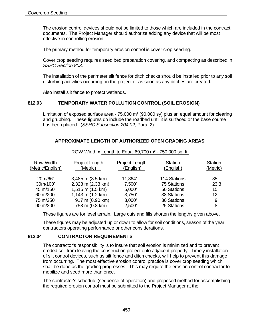The erosion control devices should not be limited to those which are included in the contract documents. The Project Manager should authorize adding any device that will be most effective in controlling erosion.

The primary method for temporary erosion control is cover crop seeding.

Cover crop seeding requires seed bed preparation covering, and compacting as described in *SSHC Section 803*.

The installation of the perimeter silt fence for ditch checks should be installed prior to any soil disturbing activities occurring on the project or as soon as any ditches are created.

Also install silt fence to protect wetlands.

# **812.03 TEMPORARY WATER POLLUTION CONTROL (SOIL EROSION)**

Limitation of exposed surface area - 75,000 m² (90,000 sy) plus an equal amount for clearing and grubbing. These figures do include the roadbed until it is surfaced or the base course has been placed. (*SSHC Subsection 204.02,* Para. 2)

#### **APPROXIMATE LENGTH OF AUTHORIZED OPEN GRADING AREAS**

| <b>Row Width</b><br>(Metric/English) | Project Length<br>(Metric) | Project Length<br>(English) | <b>Station</b><br>(English) | <b>Station</b><br>(Metric) |
|--------------------------------------|----------------------------|-----------------------------|-----------------------------|----------------------------|
| 20m/66'                              | 3,485 m (3.5 km)           | 11,364'                     | 114 Stations                | 35                         |
| 30m/100'                             | 2,323 m (2.33 km)          | 7,500                       | 75 Stations                 | 23.3                       |
| 45 m/150'                            | 1,515 m (1.5 km)           | 5,000'                      | 50 Stations                 | 15                         |
| 60 m/200'                            | 1,143 m (1.2 km)           | 3,750'                      | 38 Stations                 | 12                         |
| 75 m/250'                            | 917 m (0.90 km)            | 3,000'                      | 30 Stations                 | 9                          |
| 90 m/300'                            | 758 m (0.8 km)             | 2,500'                      | 25 Stations                 | 8                          |

ROW Width x Length to Equal  $69,700$  m<sup>2</sup> - 750,000 sq. ft.

These figures are for level terrain. Large cuts and fills shorten the lengths given above.

These figures may be adjusted up or down to allow for soil conditions, season of the year, contractors operating performance or other considerations.

#### **812.04 CONTRACTOR REQUIREMENTS**

The contractor's responsibility is to insure that soil erosion is minimized and to prevent eroded soil from leaving the construction project onto adjacent property. Timely installation of silt control devices, such as silt fence and ditch checks, will help to prevent this damage from occurring. The most effective erosion control practice is cover crop seeding which shall be done as the grading progresses. This may require the erosion control contractor to mobilize and seed more than once.

The contractor's schedule (sequence of operation) and proposed method for accomplishing the required erosion control must be submitted to the Project Manager at the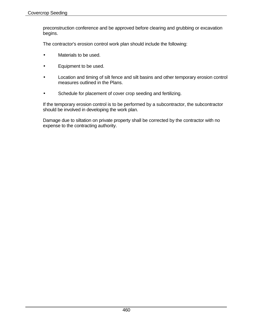preconstruction conference and be approved before clearing and grubbing or excavation begins.

The contractor's erosion control work plan should include the following:

- Materials to be used.
- Equipment to be used.
- Location and timing of silt fence and silt basins and other temporary erosion control measures outlined in the Plans.
- Schedule for placement of cover crop seeding and fertilizing.

If the temporary erosion control is to be performed by a subcontractor, the subcontractor should be involved in developing the work plan.

Damage due to siltation on private property shall be corrected by the contractor with no expense to the contracting authority.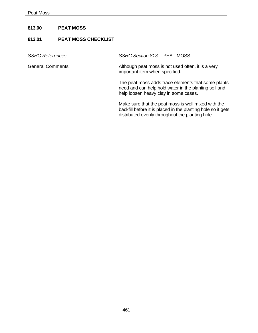# **813.00 PEAT MOSS**

# **813.01 PEAT MOSS CHECKLIST**

*SSHC References: SSHC Section 813 --* PEAT MOSS

General Comments: Although peat moss is not used often, it is a very important item when specified.

> The peat moss adds trace elements that some plants need and can help hold water in the planting soil and help loosen heavy clay in some cases.

> Make sure that the peat moss is well mixed with the backfill before it is placed in the planting hole so it gets distributed evenly throughout the planting hole.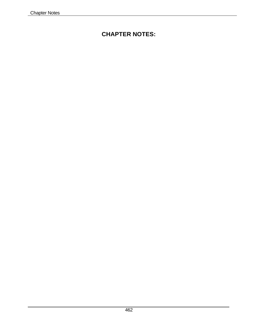# **CHAPTER NOTES:**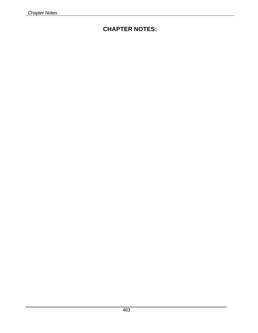# **CHAPTER NOTES:**